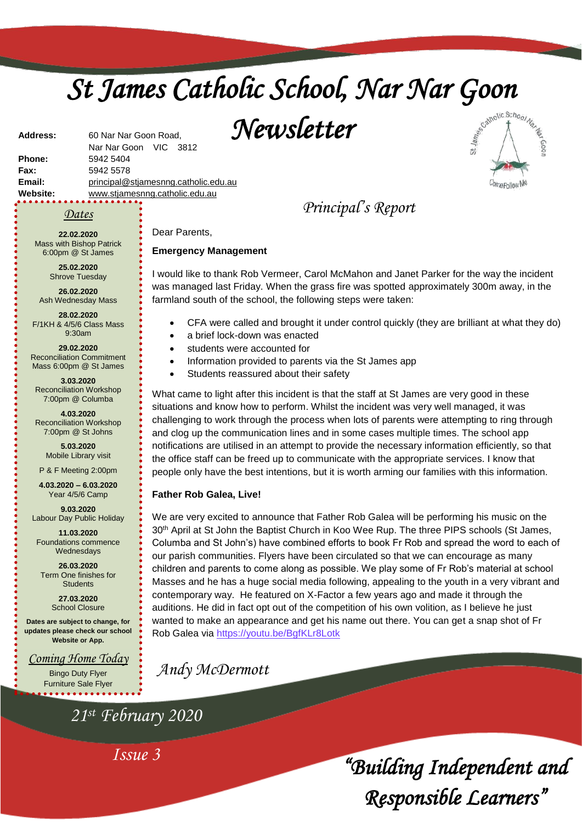# *St James Catholic School, Nar Nar Goon*

*Newsletter* 



**Fax:** 5942 5578 **Email:** [principal@stjamesnng.catholic.edu.au](mailto:principal@stjames.catholic.edu.au) **Website:** [www.stjamesnng.catholic.edu.au](http://www.stjamesnng.catholic.edu.au/)

Nar Nar Goon VIC 3812

Dear Parents,

**Emergency Management**

#### *Dates*

**Address:** 60 Nar Nar Goon Road,

**22.02.2020** Mass with Bishop Patrick 6:00pm @ St James

**Phone:** 5942 5404

**25.02.2020** Shrove Tuesday

**26.02.2020** Ash Wednesday Mass

**28.02.2020** F/1KH & 4/5/6 Class Mass 9:30am

**29.02.2020** Reconciliation Commitment Mass 6:00pm @ St James

**3.03.2020** Reconciliation Workshop 7:00pm @ Columba

**4.03.2020** Reconciliation Workshop 7:00pm @ St Johns

> **5.03.2020** Mobile Library visit

P & F Meeting 2:00pm

**4.03.2020 – 6.03.2020** Year 4/5/6 Camp

**9.03.2020** Labour Day Public Holiday

**11.03.2020** Foundations commence Wednesdays

**26.03.2020** Term One finishes for **Students** 

> **27.03.2020** School Closure

**Dates are subject to change, for updates please check our school Website or App.**

*Coming Home Today*

Bingo Duty Flyer Furniture Sale Flyer

*21st February 2020*

*Issue 3*

CFA were called and brought it under control quickly (they are brilliant at what they do)

*Principal's Report*

I would like to thank Rob Vermeer, Carol McMahon and Janet Parker for the way the incident was managed last Friday. When the grass fire was spotted approximately 300m away, in the

- a brief lock-down was enacted
- students were accounted for
- Information provided to parents via the St James app

farmland south of the school, the following steps were taken:

Students reassured about their safety

What came to light after this incident is that the staff at St James are very good in these situations and know how to perform. Whilst the incident was very well managed, it was challenging to work through the process when lots of parents were attempting to ring through and clog up the communication lines and in some cases multiple times. The school app notifications are utilised in an attempt to provide the necessary information efficiently, so that the office staff can be freed up to communicate with the appropriate services. I know that people only have the best intentions, but it is worth arming our families with this information.

#### **Father Rob Galea, Live!**

We are very excited to announce that Father Rob Galea will be performing his music on the 30<sup>th</sup> April at St John the Baptist Church in Koo Wee Rup. The three PIPS schools (St James, Columba and St John's) have combined efforts to book Fr Rob and spread the word to each of our parish communities. Flyers have been circulated so that we can encourage as many children and parents to come along as possible. We play some of Fr Rob's material at school Masses and he has a huge social media following, appealing to the youth in a very vibrant and contemporary way. He featured on X-Factor a few years ago and made it through the auditions. He did in fact opt out of the competition of his own volition, as I believe he just wanted to make an appearance and get his name out there. You can get a snap shot of Fr Rob Galea via<https://youtu.be/BgfKLr8Lotk>

*Andy McDermott*

*"Building Independent and Responsible Learners"*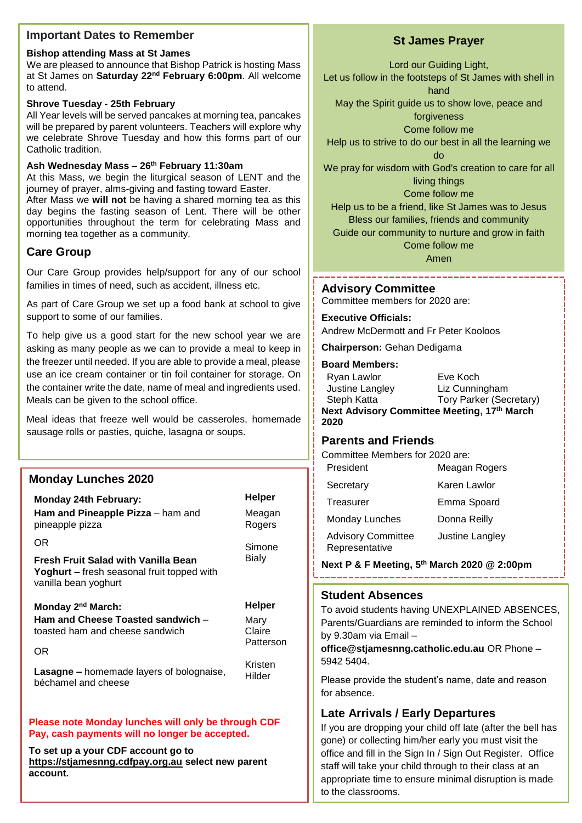## **Important Dates to Remember**

#### **Bishop attending Mass at St James**

We are pleased to announce that Bishop Patrick is hosting Mass at St James on **Saturday 22nd February 6:00pm**. All welcome to attend.

## **Shrove Tuesday - 25th February**

All Year levels will be served pancakes at morning tea, pancakes will be prepared by parent volunteers. Teachers will explore why we celebrate Shrove Tuesday and how this forms part of our Catholic tradition.

# **Ash Wednesday Mass – 26th February 11:30am**

At this Mass, we begin the liturgical season of LENT and the journey of prayer, alms-giving and fasting toward Easter.

After Mass we **will not** be having a shared morning tea as this day begins the fasting season of Lent. There will be other opportunities throughout the term for celebrating Mass and morning tea together as a community.

# **Care Group**

Our Care Group provides help/support for any of our school families in times of need, such as accident, illness etc.

As part of Care Group we set up a food bank at school to give support to some of our families.

To help give us a good start for the new school year we are asking as many people as we can to provide a meal to keep in the freezer until needed. If you are able to provide a meal, please use an ice cream container or tin foil container for storage. On the container write the date, name of meal and ingredients used. Meals can be given to the school office.

Meal ideas that freeze well would be casseroles, homemade sausage rolls or pasties, quiche, lasagna or soups.

# **Monday Lunches 2020**

**account.**

| <b>Monday 24th February:</b>                                                                                            | Helper                      |  |
|-------------------------------------------------------------------------------------------------------------------------|-----------------------------|--|
| Ham and Pineapple Pizza - ham and<br>pineapple pizza                                                                    | Meagan<br>Rogers            |  |
| OR                                                                                                                      | Simone                      |  |
| <b>Fresh Fruit Salad with Vanilla Bean</b><br><b>Yoghurt</b> – fresh seasonal fruit topped with<br>vanilla bean yoghurt | <b>Bialy</b>                |  |
| Monday 2 <sup>nd</sup> March:                                                                                           | Helper                      |  |
| Ham and Cheese Toasted sandwich -<br>toasted ham and cheese sandwich                                                    | Mary<br>Claire<br>Patterson |  |
| OR                                                                                                                      |                             |  |
| <b>Lasagne - homemade layers of bolognaise,</b><br>béchamel and cheese                                                  | Kristen<br>Hilder           |  |
| Please note Monday lunches will only be through CDF<br>Pay, cash payments will no longer be accepted.                   |                             |  |
| To set up a your CDF account go to<br>https://stjamesnng.cdfpay.org.au select new parent                                |                             |  |

# **St James Prayer**

Lord our Guiding Light,

Let us follow in the footsteps of St James with shell in hand

May the Spirit guide us to show love, peace and

forgiveness Come follow me

Help us to strive to do our best in all the learning we

do

We pray for wisdom with God's creation to care for all living things

Come follow me

Help us to be a friend, like St James was to Jesus Bless our families, friends and community

Guide our community to nurture and grow in faith

Come follow me

Amen 

## **Advisory Committee**

Committee members for 2020 are:

## **Executive Officials:**

Andrew McDermott and Fr Peter Kooloos

**Chairperson:** Gehan Dedigama

#### **Board Members:**

| Ryan Lawlor                                 | Eve Koch                       |  |
|---------------------------------------------|--------------------------------|--|
| Justine Langley                             | Liz Cunningham                 |  |
| Steph Katta                                 | <b>Tory Parker (Secretary)</b> |  |
| Next Advisory Committee Meeting, 17th March |                                |  |
| 2020                                        |                                |  |

# **Parents and Friends**

Committee Members for 2020 are:

| Meagan Rogers   |
|-----------------|
| Karen Lawlor    |
| Emma Spoard     |
| Donna Reilly    |
| Justine Langley |
|                 |

**Next P & F Meeting, 5th March 2020 @ 2:00pm**

## **Student Absences**

To avoid students having UNEXPLAINED ABSENCES, Parents/Guardians are reminded to inform the School by 9.30am via Email –

**office@stjamesnng.catholic.edu.au** OR Phone – 5942 5404.

Please provide the student's name, date and reason for absence.

# **Late Arrivals / Early Departures**

office and fill in the Sign In / Sign Out Register. Office If you are dropping your child off late (after the bell has gone) or collecting him/her early you must visit the staff will take your child through to their class at an appropriate time to ensure minimal disruption is made to the classrooms.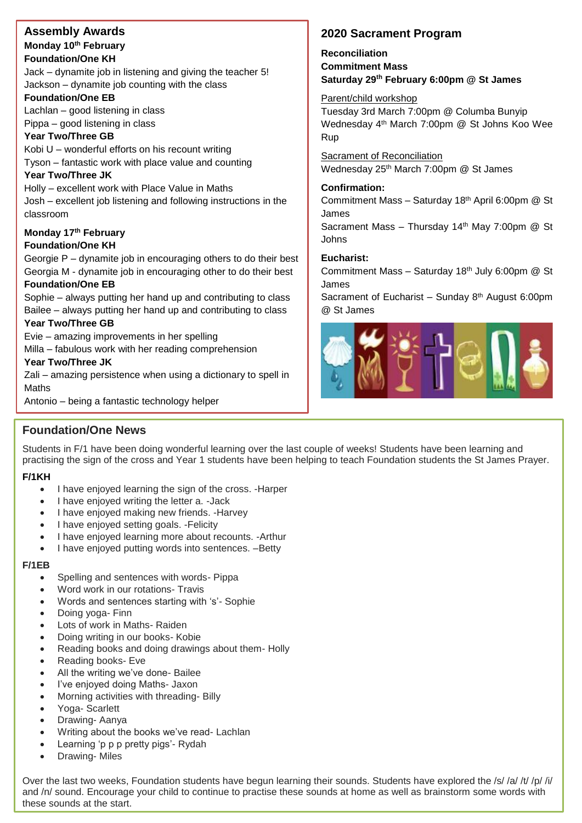# **Assembly Awards Monday 10th February Foundation/One KH**

Jack – dynamite job in listening and giving the teacher 5! Jackson – dynamite job counting with the class

#### **Foundation/One EB**

Lachlan – good listening in class Pippa – good listening in class

#### **Year Two/Three GB**

Kobi U – wonderful efforts on his recount writing Tyson – fantastic work with place value and counting

#### **Year Two/Three JK**

Holly – excellent work with Place Value in Maths Josh – excellent job listening and following instructions in the classroom

# **Monday 17th February**

## **Foundation/One KH**

Georgie P – dynamite job in encouraging others to do their best Georgia M - dynamite job in encouraging other to do their best

#### **Foundation/One EB**

Sophie – always putting her hand up and contributing to class Bailee – always putting her hand up and contributing to class

#### **Year Two/Three GB**

Evie – amazing improvements in her spelling

Milla – fabulous work with her reading comprehension

#### **Year Two/Three JK**

Zali – amazing persistence when using a dictionary to spell in Maths

Antonio – being a fantastic technology helper

# **2020 Sacrament Program**

# **Reconciliation Commitment Mass Saturday 29th February 6:00pm @ St James**

Parent/child workshop Tuesday 3rd March 7:00pm @ Columba Bunyip Wednesday 4th March 7:00pm @ St Johns Koo Wee Rup

Sacrament of Reconciliation Wednesday 25<sup>th</sup> March 7:00pm @ St James

#### **Confirmation:**

Commitment Mass – Saturday 18th April 6:00pm @ St James

Sacrament Mass - Thursday 14<sup>th</sup> May 7:00pm @ St Johns

#### **Eucharist:**

Commitment Mass – Saturday 18th July 6:00pm @ St James

Sacrament of Eucharist – Sunday 8<sup>th</sup> August 6:00pm @ St James



# **Foundation/One News**

Students in F/1 have been doing wonderful learning over the last couple of weeks! Students have been learning and practising the sign of the cross and Year 1 students have been helping to teach Foundation students the St James Prayer.

## **F/1KH**

- I have enjoyed learning the sign of the cross. Harper
- I have enjoyed writing the letter a. Jack
- I have enjoyed making new friends. Harvey
- I have enjoyed setting goals. Felicity
- I have enjoyed learning more about recounts. -Arthur
- I have enjoyed putting words into sentences. –Betty

#### **F/1EB**

- Spelling and sentences with words- Pippa
- Word work in our rotations- Travis
- Words and sentences starting with 's'- Sophie
- Doing yoga- Finn
- Lots of work in Maths- Raiden
- Doing writing in our books- Kobie
- Reading books and doing drawings about them- Holly
- Reading books- Eve
- All the writing we've done- Bailee
- I've enjoyed doing Maths- Jaxon
- Morning activities with threading- Billy
- Yoga- Scarlett
- Drawing- Aanya
- Writing about the books we've read- Lachlan
- Learning 'p p p pretty pigs'- Rydah
- Drawing- Miles

Over the last two weeks, Foundation students have begun learning their sounds. Students have explored the /s/ /a/ /t/ /p/ /i/ and /n/ sound. Encourage your child to continue to practise these sounds at home as well as brainstorm some words with these sounds at the start.